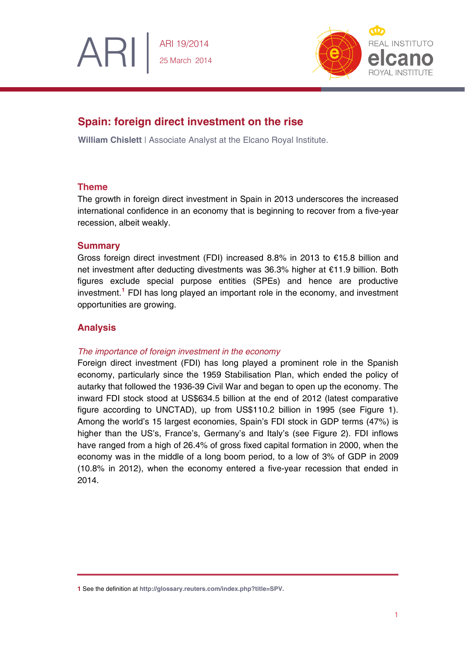

# **Spain: foreign direct investment on the rise**

**William Chislett** | Associate Analyst at the Elcano Royal Institute.

## **Theme**

ARI

The growth in foreign direct investment in Spain in 2013 underscores the increased international confidence in an economy that is beginning to recover from a five-year recession, albeit weakly.

## **Summary**

Gross foreign direct investment (FDI) increased 8.8% in 2013 to €15.8 billion and net investment after deducting divestments was 36.3% higher at €11.9 billion. Both figures exclude special purpose entities (SPEs) and hence are productive investment.**[1](#page-0-0)** FDI has long played an important role in the economy, and investment opportunities are growing.

# **Analysis**

## *The importance of foreign investment in the economy*

Foreign direct investment (FDI) has long played a prominent role in the Spanish economy, particularly since the 1959 Stabilisation Plan, which ended the policy of autarky that followed the 1936-39 Civil War and began to open up the economy. The inward FDI stock stood at US\$634.5 billion at the end of 2012 (latest comparative figure according to UNCTAD), up from US\$110.2 billion in 1995 (see Figure 1). Among the world's 15 largest economies, Spain's FDI stock in GDP terms (47%) is higher than the US's, France's, Germany's and Italy's (see Figure 2). FDI inflows have ranged from a high of 26.4% of gross fixed capital formation in 2000, when the economy was in the middle of a long boom period, to a low of 3% of GDP in 2009 (10.8% in 2012), when the economy entered a five-year recession that ended in 2014.

<span id="page-0-0"></span>**<sup>1</sup>** See the definition at **[http://glossary.reuters.com/index.php?title=SPV.](http://glossary.reuters.com/index.php?title=SPV)**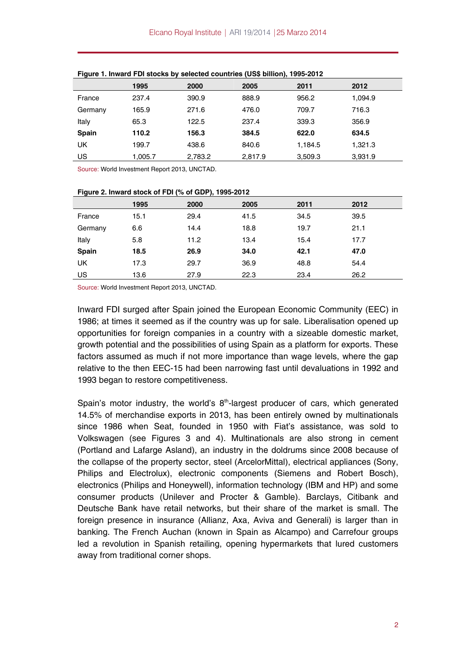|              | 1995    | 2000    | 2005    | 2011    | 2012    |
|--------------|---------|---------|---------|---------|---------|
| France       | 237.4   | 390.9   | 888.9   | 956.2   | 1,094.9 |
| Germany      | 165.9   | 271.6   | 476.0   | 709.7   | 716.3   |
| Italy        | 65.3    | 122.5   | 237.4   | 339.3   | 356.9   |
| <b>Spain</b> | 110.2   | 156.3   | 384.5   | 622.0   | 634.5   |
| UK           | 199.7   | 438.6   | 840.6   | 1,184.5 | 1,321.3 |
| US           | 1,005.7 | 2,783.2 | 2,817.9 | 3,509.3 | 3,931.9 |

**Figure 1. Inward FDI stocks by selected countries (US\$ billion), 1995-2012** 

Source: World Investment Report 2013, UNCTAD.

| Figure 2. Inward Stock of FDI (% of GDP), 1995-2012 |      |      |      |      |      |
|-----------------------------------------------------|------|------|------|------|------|
|                                                     | 1995 | 2000 | 2005 | 2011 | 2012 |
| France                                              | 15.1 | 29.4 | 41.5 | 34.5 | 39.5 |
| Germany                                             | 6.6  | 14.4 | 18.8 | 19.7 | 21.1 |
| Italy                                               | 5.8  | 11.2 | 13.4 | 15.4 | 17.7 |
| <b>Spain</b>                                        | 18.5 | 26.9 | 34.0 | 42.1 | 47.0 |
| <b>UK</b>                                           | 17.3 | 29.7 | 36.9 | 48.8 | 54.4 |
| US                                                  | 13.6 | 27.9 | 22.3 | 23.4 | 26.2 |

| Figure 2. Inward stock of FDI (% of GDP), 1995-2012 |  |  |  |
|-----------------------------------------------------|--|--|--|

Source: World Investment Report 2013, UNCTAD.

Inward FDI surged after Spain joined the European Economic Community (EEC) in 1986; at times it seemed as if the country was up for sale. Liberalisation opened up opportunities for foreign companies in a country with a sizeable domestic market, growth potential and the possibilities of using Spain as a platform for exports. These factors assumed as much if not more importance than wage levels, where the gap relative to the then EEC-15 had been narrowing fast until devaluations in 1992 and 1993 began to restore competitiveness.

Spain's motor industry, the world's  $8<sup>th</sup>$ -largest producer of cars, which generated 14.5% of merchandise exports in 2013, has been entirely owned by multinationals since 1986 when Seat, founded in 1950 with Fiat's assistance, was sold to Volkswagen (see Figures 3 and 4). Multinationals are also strong in cement (Portland and Lafarge Asland), an industry in the doldrums since 2008 because of the collapse of the property sector, steel (ArcelorMittal), electrical appliances (Sony, Philips and Electrolux), electronic components (Siemens and Robert Bosch), electronics (Philips and Honeywell), information technology (IBM and HP) and some consumer products (Unilever and Procter & Gamble). Barclays, Citibank and Deutsche Bank have retail networks, but their share of the market is small. The foreign presence in insurance (Allianz, Axa, Aviva and Generali) is larger than in banking. The French Auchan (known in Spain as Alcampo) and Carrefour groups led a revolution in Spanish retailing, opening hypermarkets that lured customers away from traditional corner shops.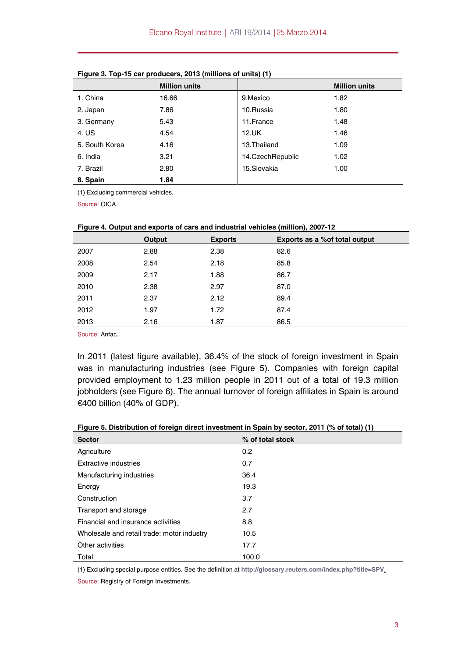|                | <b>Million units</b> |                  | <b>Million units</b> |
|----------------|----------------------|------------------|----------------------|
| 1. China       | 16.66                | 9. Mexico        | 1.82                 |
| 2. Japan       | 7.86                 | 10.Russia        | 1.80                 |
| 3. Germany     | 5.43                 | 11.France        | 1.48                 |
| 4. US          | 4.54                 | 12.UK            | 1.46                 |
| 5. South Korea | 4.16                 | 13. Thailand     | 1.09                 |
| 6. India       | 3.21                 | 14.CzechRepublic | 1.02                 |
| 7. Brazil      | 2.80                 | 15.Slovakia      | 1.00                 |
| 8. Spain       | 1.84                 |                  |                      |

| Figure 3. Top-15 car producers, 2013 (millions of units) (1) |  |  |  |  |  |
|--------------------------------------------------------------|--|--|--|--|--|
|--------------------------------------------------------------|--|--|--|--|--|

(1) Excluding commercial vehicles.

Source: OICA.

| <b>There T.</b> Output and CAponto Of Outs and mademail vehicles (minion), 2007 TZ |        |                |                                |  |
|------------------------------------------------------------------------------------|--------|----------------|--------------------------------|--|
|                                                                                    | Output | <b>Exports</b> | Exports as a % of total output |  |
| 2007                                                                               | 2.88   | 2.38           | 82.6                           |  |
| 2008                                                                               | 2.54   | 2.18           | 85.8                           |  |
| 2009                                                                               | 2.17   | 1.88           | 86.7                           |  |
| 2010                                                                               | 2.38   | 2.97           | 87.0                           |  |
| 2011                                                                               | 2.37   | 2.12           | 89.4                           |  |
| 2012                                                                               | 1.97   | 1.72           | 87.4                           |  |
| 2013                                                                               | 2.16   | 1.87           | 86.5                           |  |

### **Figure 4. Output and exports of cars and industrial vehicles (million), 2007-12**

Source: Anfac.

In 2011 (latest figure available), 36.4% of the stock of foreign investment in Spain was in manufacturing industries (see Figure 5). Companies with foreign capital provided employment to 1.23 million people in 2011 out of a total of 19.3 million jobholders (see Figure 6). The annual turnover of foreign affiliates in Spain is around €400 billion (40% of GDP).

#### **Figure 5. Distribution of foreign direct investment in Spain by sector, 2011 (% of total) (1)**

| <b>Sector</b>                              | % of total stock |
|--------------------------------------------|------------------|
| Agriculture                                | 0.2              |
| <b>Extractive industries</b>               | 0.7              |
| Manufacturing industries                   | 36.4             |
| Energy                                     | 19.3             |
| Construction                               | 3.7              |
| Transport and storage                      | 2.7              |
| Financial and insurance activities         | 8.8              |
| Wholesale and retail trade: motor industry | 10.5             |
| Other activities                           | 17.7             |
| Total                                      | 100.0            |

(1) Excluding special purpose entities. See the definition at **<http://glossary.reuters.com/index.php?title=SPV>**.

Source: Registry of Foreign Investments.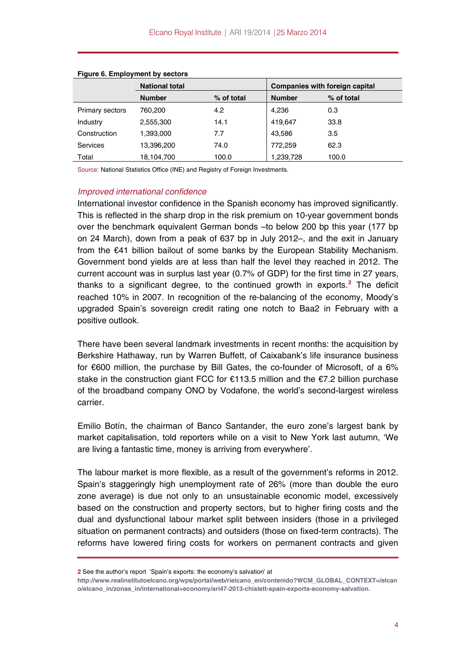|                        | <b>National total</b> |            |               | <b>Companies with foreign capital</b> |
|------------------------|-----------------------|------------|---------------|---------------------------------------|
|                        | <b>Number</b>         | % of total | <b>Number</b> | % of total                            |
| <b>Primary sectors</b> | 760,200               | 4.2        | 4,236         | 0.3                                   |
| Industry               | 2,555,300             | 14.1       | 419.647       | 33.8                                  |
| Construction           | 1,393,000             | 7.7        | 43.586        | 3.5                                   |
| <b>Services</b>        | 13,396,200            | 74.0       | 772,259       | 62.3                                  |
| Total                  | 18,104,700            | 100.0      | 1,239,728     | 100.0                                 |

#### **Figure 6. Employment by sectors**

Source: National Statistics Office (INE) and Registry of Foreign Investments.

### *Improved international confidence*

International investor confidence in the Spanish economy has improved significantly. This is reflected in the sharp drop in the risk premium on 10-year government bonds over the benchmark equivalent German bonds –to below 200 bp this year (177 bp on 24 March), down from a peak of 637 bp in July 2012–, and the exit in January from the €41 billion bailout of some banks by the European Stability Mechanism. Government bond yields are at less than half the level they reached in 2012. The current account was in surplus last year (0.7% of GDP) for the first time in 27 years, thanks to a significant degree, to the continued growth in exports.**[2](#page-3-0)** The deficit reached 10% in 2007. In recognition of the re-balancing of the economy, Moody's upgraded Spain's sovereign credit rating one notch to Baa2 in February with a positive outlook.

There have been several landmark investments in recent months: the acquisition by Berkshire Hathaway, run by Warren Buffett, of Caixabank's life insurance business for €600 million, the purchase by Bill Gates, the co-founder of Microsoft, of a 6% stake in the construction giant FCC for €113.5 million and the €7.2 billion purchase of the broadband company ONO by Vodafone, the world's second-largest wireless carrier.

Emilio Botín, the chairman of Banco Santander, the euro zone's largest bank by market capitalisation, told reporters while on a visit to New York last autumn, 'We are living a fantastic time, money is arriving from everywhere'.

The labour market is more flexible, as a result of the government's reforms in 2012. Spain's staggeringly high unemployment rate of 26% (more than double the euro zone average) is due not only to an unsustainable economic model, excessively based on the construction and property sectors, but to higher firing costs and the dual and dysfunctional labour market split between insiders (those in a privileged situation on permanent contracts) and outsiders (those on fixed-term contracts). The reforms have lowered firing costs for workers on permanent contracts and given

<span id="page-3-0"></span>**<sup>2</sup>** See the author's report 'Spain's exports: the economy's salvation' at

**[http://www.realinstitutoelcano.org/wps/portal/web/rielcano\\_en/contenido?WCM\\_GLOBAL\\_CONTEXT=/elcan](http://www.realinstitutoelcano.org/wps/portal/web/rielcano_en/contenido?WCM_GLOBAL_CONTEXT=/elcano/elcano_in/zonas_in/international+economy/ari47-2013-chislett-spain-exports-economy-salvation) [o/elcano\\_in/zonas\\_in/international+economy/ari47-2013-chislett-spain-exports-economy-salvation](http://www.realinstitutoelcano.org/wps/portal/web/rielcano_en/contenido?WCM_GLOBAL_CONTEXT=/elcano/elcano_in/zonas_in/international+economy/ari47-2013-chislett-spain-exports-economy-salvation)**.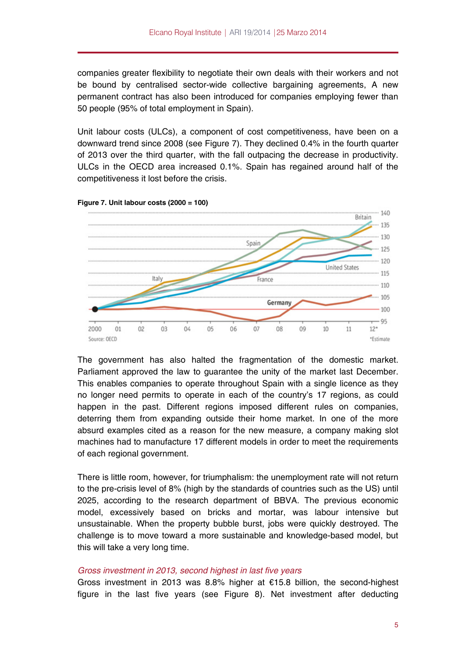companies greater flexibility to negotiate their own deals with their workers and not be bound by centralised sector-wide collective bargaining agreements, A new permanent contract has also been introduced for companies employing fewer than 50 people (95% of total employment in Spain).

Unit labour costs (ULCs), a component of cost competitiveness, have been on a downward trend since 2008 (see Figure 7). They declined 0.4% in the fourth quarter of 2013 over the third quarter, with the fall outpacing the decrease in productivity. ULCs in the OECD area increased 0.1%. Spain has regained around half of the competitiveness it lost before the crisis.



**Figure 7. Unit labour costs (2000 = 100)** 

The government has also halted the fragmentation of the domestic market. Parliament approved the law to guarantee the unity of the market last December. This enables companies to operate throughout Spain with a single licence as they no longer need permits to operate in each of the country's 17 regions, as could happen in the past. Different regions imposed different rules on companies, deterring them from expanding outside their home market. In one of the more absurd examples cited as a reason for the new measure, a company making slot machines had to manufacture 17 different models in order to meet the requirements of each regional government.

There is little room, however, for triumphalism: the unemployment rate will not return to the pre-crisis level of 8% (high by the standards of countries such as the US) until 2025, according to the research department of BBVA. The previous economic model, excessively based on bricks and mortar, was labour intensive but unsustainable. When the property bubble burst, jobs were quickly destroyed. The challenge is to move toward a more sustainable and knowledge-based model, but this will take a very long time.

### *Gross investment in 2013, second highest in last five years*

Gross investment in 2013 was 8.8% higher at €15.8 billion, the second-highest figure in the last five years (see Figure 8). Net investment after deducting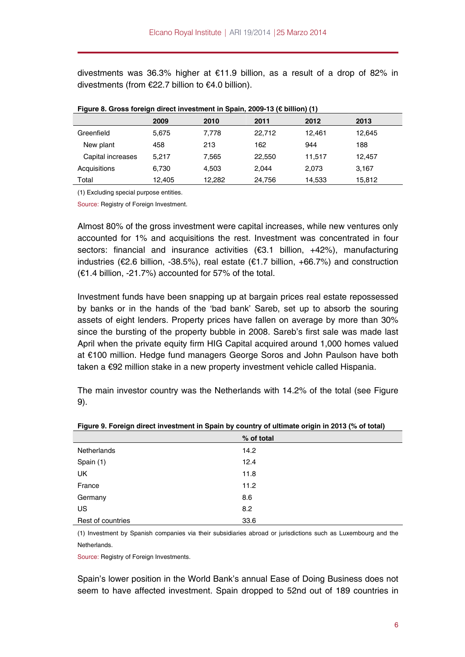divestments was 36.3% higher at €11.9 billion, as a result of a drop of 82% in divestments (from €22.7 billion to €4.0 billion).

|                   | 2009   | 2010   | 2011   | 2012   | 2013   |  |
|-------------------|--------|--------|--------|--------|--------|--|
| Greenfield        | 5,675  | 7,778  | 22,712 | 12.461 | 12,645 |  |
| New plant         | 458    | 213    | 162    | 944    | 188    |  |
| Capital increases | 5.217  | 7.565  | 22,550 | 11.517 | 12,457 |  |
| Acquisitions      | 6,730  | 4.503  | 2.044  | 2,073  | 3,167  |  |
| Total             | 12,405 | 12,282 | 24,756 | 14,533 | 15,812 |  |

|  |  | Figure 8. Gross foreign direct investment in Spain, 2009-13 (€ billion) (1) |  |  |  |  |
|--|--|-----------------------------------------------------------------------------|--|--|--|--|
|--|--|-----------------------------------------------------------------------------|--|--|--|--|

(1) Excluding special purpose entities.

Source: Registry of Foreign Investment.

Almost 80% of the gross investment were capital increases, while new ventures only accounted for 1% and acquisitions the rest. Investment was concentrated in four sectors: financial and insurance activities (€3.1 billion, +42%), manufacturing industries (€2.6 billion, -38.5%), real estate (€1.7 billion, +66.7%) and construction (€1.4 billion, -21.7%) accounted for 57% of the total.

Investment funds have been snapping up at bargain prices real estate repossessed by banks or in the hands of the 'bad bank' Sareb, set up to absorb the souring assets of eight lenders. Property prices have fallen on average by more than 30% since the bursting of the property bubble in 2008. Sareb's first sale was made last April when the private equity firm HIG Capital acquired around 1,000 homes valued at €100 million. Hedge fund managers George Soros and John Paulson have both taken a €92 million stake in a new property investment vehicle called Hispania.

The main investor country was the Netherlands with 14.2% of the total (see Figure 9).

|                   | % of total |
|-------------------|------------|
| Netherlands       | 14.2       |
| Spain (1)         | 12.4       |
| <b>UK</b>         | 11.8       |
| France            | 11.2       |
| Germany           | 8.6        |
| US                | 8.2        |
| Rest of countries | 33.6       |

**Figure 9. Foreign direct investment in Spain by country of ultimate origin in 2013 (% of total)** 

(1) Investment by Spanish companies via their subsidiaries abroad or jurisdictions such as Luxembourg and the Netherlands.

Source: Registry of Foreign Investments.

Spain's lower position in the World Bank's annual Ease of Doing Business does not seem to have affected investment. Spain dropped to 52nd out of 189 countries in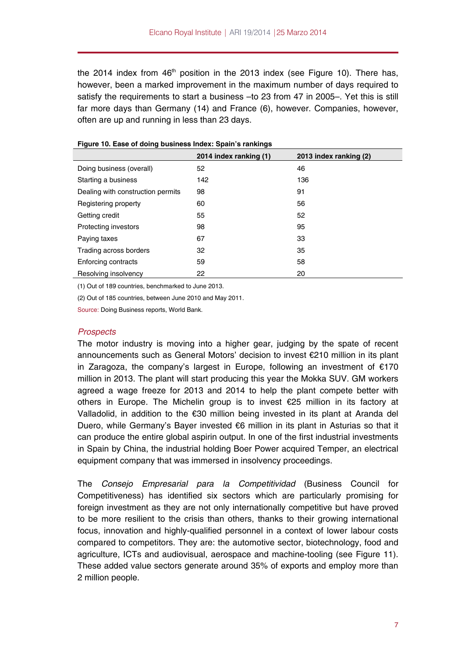the 2014 index from  $46<sup>th</sup>$  position in the 2013 index (see Figure 10). There has, however, been a marked improvement in the maximum number of days required to satisfy the requirements to start a business –to 23 from 47 in 2005–. Yet this is still far more days than Germany (14) and France (6), however. Companies, however, often are up and running in less than 23 days.

|                                   | 2014 index ranking (1) | 2013 index ranking (2) |
|-----------------------------------|------------------------|------------------------|
| Doing business (overall)          | 52                     | 46                     |
| Starting a business               | 142                    | 136                    |
| Dealing with construction permits | 98                     | 91                     |
| Registering property              | 60                     | 56                     |
| Getting credit                    | 55                     | 52                     |
| <b>Protecting investors</b>       | 98                     | 95                     |
| Paying taxes                      | 67                     | 33                     |
| Trading across borders            | 32                     | 35                     |
| <b>Enforcing contracts</b>        | 59                     | 58                     |
| Resolving insolvency              | 22                     | 20                     |

(1) Out of 189 countries, benchmarked to June 2013.

(2) Out of 185 countries, between June 2010 and May 2011.

Source: Doing Business reports, World Bank.

#### *Prospects*

The motor industry is moving into a higher gear, judging by the spate of recent announcements such as General Motors' decision to invest €210 million in its plant in Zaragoza, the company's largest in Europe, following an investment of  $€170$ million in 2013. The plant will start producing this year the Mokka SUV. GM workers agreed a wage freeze for 2013 and 2014 to help the plant compete better with others in Europe. The Michelin group is to invest €25 million in its factory at Valladolid, in addition to the €30 million being invested in its plant at Aranda del Duero, while Germany's Bayer invested €6 million in its plant in Asturias so that it can produce the entire global aspirin output. In one of the first industrial investments in Spain by China, the industrial holding Boer Power acquired Temper, an electrical equipment company that was immersed in insolvency proceedings.

The *Consejo Empresarial para la Competitividad* (Business Council for Competitiveness) has identified six sectors which are particularly promising for foreign investment as they are not only internationally competitive but have proved to be more resilient to the crisis than others, thanks to their growing international focus, innovation and highly-qualified personnel in a context of lower labour costs compared to competitors. They are: the automotive sector, biotechnology, food and agriculture, ICTs and audiovisual, aerospace and machine-tooling (see Figure 11). These added value sectors generate around 35% of exports and employ more than 2 million people.